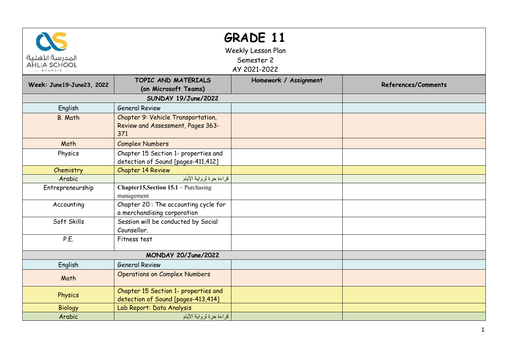| <b>GRADE 11</b><br>Weekly Lesson Plan<br>المدرسة الأهلية<br>Semester 2<br><b>AHLIA SCHOOL</b><br>AY 2021-2022 |                                                                                |                       |                     |  |  |  |
|---------------------------------------------------------------------------------------------------------------|--------------------------------------------------------------------------------|-----------------------|---------------------|--|--|--|
| Week: June19-June23, 2022                                                                                     | TOPIC AND MATERIALS<br>(on Microsoft Teams)                                    | Homework / Assignment | References/Comments |  |  |  |
| SUNDAY 19/June/2022                                                                                           |                                                                                |                       |                     |  |  |  |
| English                                                                                                       | <b>General Review</b>                                                          |                       |                     |  |  |  |
| <b>B.</b> Math                                                                                                | Chapter 9: Vehicle Transportation,<br>Review and Assessment, Pages 363-<br>371 |                       |                     |  |  |  |
| Math                                                                                                          | <b>Complex Numbers</b>                                                         |                       |                     |  |  |  |
| Physics                                                                                                       | Chapter 15 Section 1- properties and<br>detection of Sound [pages-411,412]     |                       |                     |  |  |  |
| Chemistry                                                                                                     | <b>Chapter 14 Review</b>                                                       |                       |                     |  |  |  |
| Arabic                                                                                                        | قراءة حرة لرواية الأيام                                                        |                       |                     |  |  |  |
| Entrepreneurship                                                                                              | Chapter15, Section 15.1 - Purchasing<br>management                             |                       |                     |  |  |  |
| Accounting                                                                                                    | Chapter 20: The accounting cycle for<br>a merchandising corporation            |                       |                     |  |  |  |
| Soft Skills                                                                                                   | Session will be conducted by Social<br>Counsellor.                             |                       |                     |  |  |  |
| P.E.                                                                                                          | Fitness test                                                                   |                       |                     |  |  |  |
|                                                                                                               |                                                                                |                       |                     |  |  |  |
| English                                                                                                       | <b>General Review</b>                                                          |                       |                     |  |  |  |
| Math                                                                                                          | <b>Operations on Complex Numbers</b>                                           |                       |                     |  |  |  |
| Physics                                                                                                       | Chapter 15 Section 1- properties and<br>detection of Sound [pages-413,414]     |                       |                     |  |  |  |
| <b>Biology</b>                                                                                                | Lab Report: Data Analysis                                                      |                       |                     |  |  |  |
| Arabic                                                                                                        | قراءة حرة لرواية الأيام                                                        |                       |                     |  |  |  |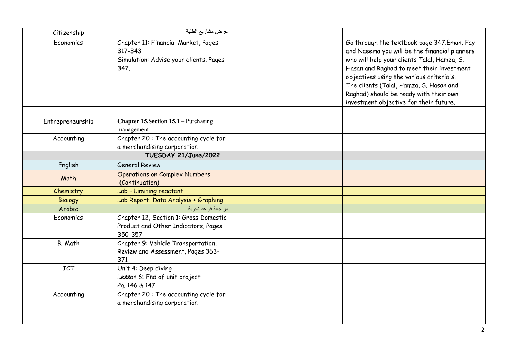| Citizenship          | عرض مشاريع الطلبة                                                                                |  |                                                                                                                                                                                                                                                                                                                                                                    |
|----------------------|--------------------------------------------------------------------------------------------------|--|--------------------------------------------------------------------------------------------------------------------------------------------------------------------------------------------------------------------------------------------------------------------------------------------------------------------------------------------------------------------|
| Economics            | Chapter 11: Financial Market, Pages<br>317-343<br>Simulation: Advise your clients, Pages<br>347. |  | Go through the textbook page 347.Eman, Fay<br>and Naeema you will be the financial planners<br>who will help your clients Talal, Hamza, S.<br>Hasan and Raghad to meet their investment<br>objectives using the various criteria's.<br>The clients (Talal, Hamza, S. Hasan and<br>Raghad) should be ready with their own<br>investment objective for their future. |
| Entrepreneurship     | <b>Chapter 15, Section 15.1</b> – Purchasing                                                     |  |                                                                                                                                                                                                                                                                                                                                                                    |
|                      | management                                                                                       |  |                                                                                                                                                                                                                                                                                                                                                                    |
| Accounting           | Chapter 20: The accounting cycle for<br>a merchandising corporation                              |  |                                                                                                                                                                                                                                                                                                                                                                    |
| TUESDAY 21/June/2022 |                                                                                                  |  |                                                                                                                                                                                                                                                                                                                                                                    |
| English              | <b>General Review</b>                                                                            |  |                                                                                                                                                                                                                                                                                                                                                                    |
| Math                 | <b>Operations on Complex Numbers</b><br>(Continuation)                                           |  |                                                                                                                                                                                                                                                                                                                                                                    |
| Chemistry            | Lab - Limiting reactant                                                                          |  |                                                                                                                                                                                                                                                                                                                                                                    |
| <b>Biology</b>       | Lab Report: Data Analysis + Graphing                                                             |  |                                                                                                                                                                                                                                                                                                                                                                    |
| Arabic               | مراجعة قواعد نحوية                                                                               |  |                                                                                                                                                                                                                                                                                                                                                                    |
| Economics            | Chapter 12, Section 1: Gross Domestic<br>Product and Other Indicators, Pages<br>350-357          |  |                                                                                                                                                                                                                                                                                                                                                                    |
| B. Math              | Chapter 9: Vehicle Transportation,<br>Review and Assessment, Pages 363-<br>371                   |  |                                                                                                                                                                                                                                                                                                                                                                    |
| <b>ICT</b>           | Unit 4: Deep diving<br>Lesson 6: End of unit project<br>Pg. 146 & 147                            |  |                                                                                                                                                                                                                                                                                                                                                                    |
| Accounting           | Chapter 20: The accounting cycle for<br>a merchandising corporation                              |  |                                                                                                                                                                                                                                                                                                                                                                    |